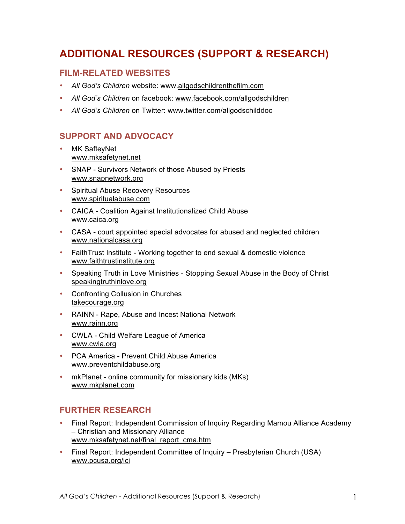# **ADDITIONAL RESOURCES (SUPPORT & RESEARCH)**

### **FILM-RELATED WEBSITES**

- *All God's Children* website: www.allgodschildrenthefilm.com
- *All God's Children* on facebook: www.facebook.com/allgodschildren
- *All God's Children* on Twitter: www.twitter.com/allgodschilddoc

## **SUPPORT AND ADVOCACY**

- MK SafteyNet www.mksafetynet.net
- SNAP Survivors Network of those Abused by Priests www.snapnetwork.org
- Spiritual Abuse Recovery Resources www.spiritualabuse.com
- CAICA Coalition Against Institutionalized Child Abuse www.caica.org
- CASA court appointed special advocates for abused and neglected children www.nationalcasa.org
- FaithTrust Institute Working together to end sexual & domestic violence www.faithtrustinstitute.org
- Speaking Truth in Love Ministries Stopping Sexual Abuse in the Body of Christ speakingtruthinlove.org
- Confronting Collusion in Churches takecourage.org
- RAINN Rape, Abuse and Incest National Network www.rainn.org
- CWLA Child Welfare League of America www.cwla.org
- PCA America Prevent Child Abuse America www.preventchildabuse.org
- mkPlanet online community for missionary kids (MKs) www.mkplanet.com

### **FURTHER RESEARCH**

- Final Report: Independent Commission of Inquiry Regarding Mamou Alliance Academy – Christian and Missionary Alliance www.mksafetynet.net/final\_report\_cma.htm
- Final Report: Independent Committee of Inquiry Presbyterian Church (USA) www.pcusa.org/ici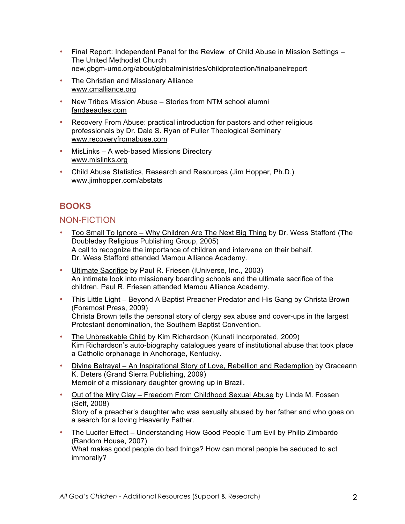- Final Report: Independent Panel for the Review of Child Abuse in Mission Settings The United Methodist Church new.gbgm-umc.org/about/globalministries/childprotection/finalpanelreport
- The Christian and Missionary Alliance www.cmalliance.org
- New Tribes Mission Abuse Stories from NTM school alumni fandaeagles.com
- Recovery From Abuse: practical introduction for pastors and other religious professionals by Dr. Dale S. Ryan of Fuller Theological Seminary www.recoveryfromabuse.com
- MisLinks A web-based Missions Directory www.mislinks.org
- Child Abuse Statistics, Research and Resources (Jim Hopper, Ph.D.) www.jimhopper.com/abstats

# **BOOKS**

### NON-FICTION

- Too Small To Ignore Why Children Are The Next Big Thing by Dr. Wess Stafford (The Doubleday Religious Publishing Group, 2005) A call to recognize the importance of children and intervene on their behalf. Dr. Wess Stafford attended Mamou Alliance Academy.
- Ultimate Sacrifice by Paul R. Friesen (iUniverse, Inc., 2003) An intimate look into missionary boarding schools and the ultimate sacrifice of the children. Paul R. Friesen attended Mamou Alliance Academy.
- This Little Light Beyond A Baptist Preacher Predator and His Gang by Christa Brown (Foremost Press, 2009) Christa Brown tells the personal story of clergy sex abuse and cover-ups in the largest Protestant denomination, the Southern Baptist Convention.
- The Unbreakable Child by Kim Richardson (Kunati Incorporated, 2009) Kim Richardson's auto-biography catalogues years of institutional abuse that took place a Catholic orphanage in Anchorage, Kentucky.
- Divine Betrayal An Inspirational Story of Love, Rebellion and Redemption by Graceann K. Deters (Grand Sierra Publishing, 2009) Memoir of a missionary daughter growing up in Brazil.
- Out of the Miry Clay Freedom From Childhood Sexual Abuse by Linda M. Fossen (Self, 2008) Story of a preacher's daughter who was sexually abused by her father and who goes on a search for a loving Heavenly Father.
- The Lucifer Effect Understanding How Good People Turn Evil by Philip Zimbardo (Random House, 2007) What makes good people do bad things? How can moral people be seduced to act immorally?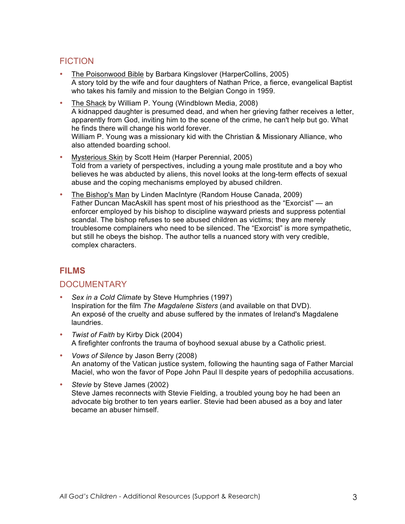# **FICTION**

- The Poisonwood Bible by Barbara Kingslover (HarperCollins, 2005) A story told by the wife and four daughters of Nathan Price, a fierce, evangelical Baptist who takes his family and mission to the Belgian Congo in 1959.
- The Shack by William P. Young (Windblown Media, 2008) A kidnapped daughter is presumed dead, and when her grieving father receives a letter, apparently from God, inviting him to the scene of the crime, he can't help but go. What he finds there will change his world forever. William P. Young was a missionary kid with the Christian & Missionary Alliance, who also attended boarding school.
- Mysterious Skin by Scott Heim (Harper Perennial, 2005) Told from a variety of perspectives, including a young male prostitute and a boy who believes he was abducted by aliens, this novel looks at the long-term effects of sexual abuse and the coping mechanisms employed by abused children.
- The Bishop's Man by Linden MacIntyre (Random House Canada, 2009) Father Duncan MacAskill has spent most of his priesthood as the "Exorcist" — an enforcer employed by his bishop to discipline wayward priests and suppress potential scandal. The bishop refuses to see abused children as victims; they are merely troublesome complainers who need to be silenced. The "Exorcist" is more sympathetic, but still he obeys the bishop. The author tells a nuanced story with very credible, complex characters.

### **FILMS**

### **DOCUMENTARY**

- *Sex in a Cold Climate* by Steve Humphries (1997) Inspiration for the film *The Magdalene Sisters* (and available on that DVD). An exposé of the cruelty and abuse suffered by the inmates of Ireland's Magdalene laundries.
- *Twist of Faith* by Kirby Dick (2004) A firefighter confronts the trauma of boyhood sexual abuse by a Catholic priest.
- *Vows of Silence* by Jason Berry (2008) An anatomy of the Vatican justice system, following the haunting saga of Father Marcial Maciel, who won the favor of Pope John Paul II despite years of pedophilia accusations.
- *Stevie* by Steve James (2002) Steve James reconnects with Stevie Fielding, a troubled young boy he had been an advocate big brother to ten years earlier. Stevie had been abused as a boy and later became an abuser himself.